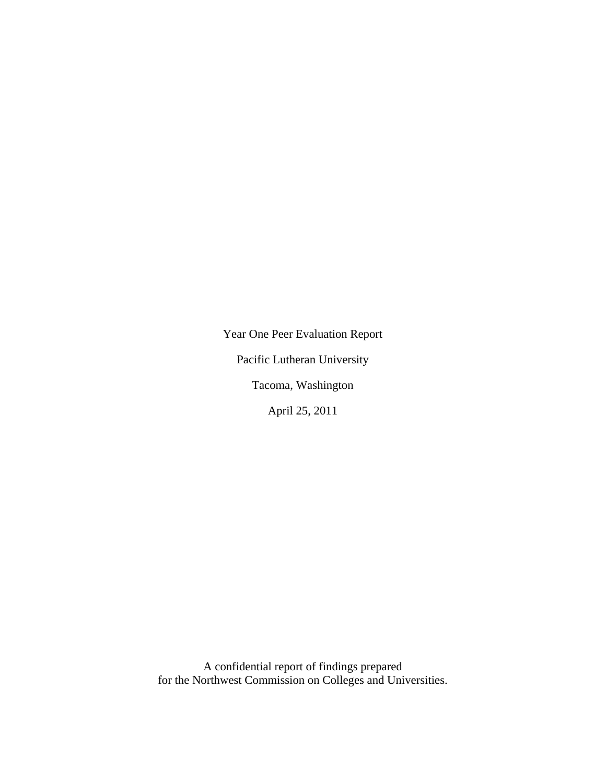Year One Peer Evaluation Report Pacific Lutheran University Tacoma, Washington April 25, 2011

A confidential report of findings prepared for the Northwest Commission on Colleges and Universities.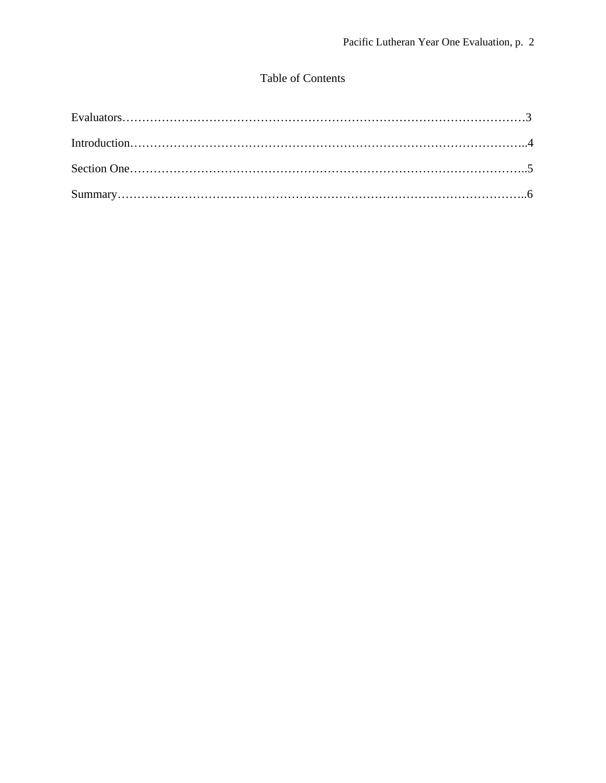# Table of Contents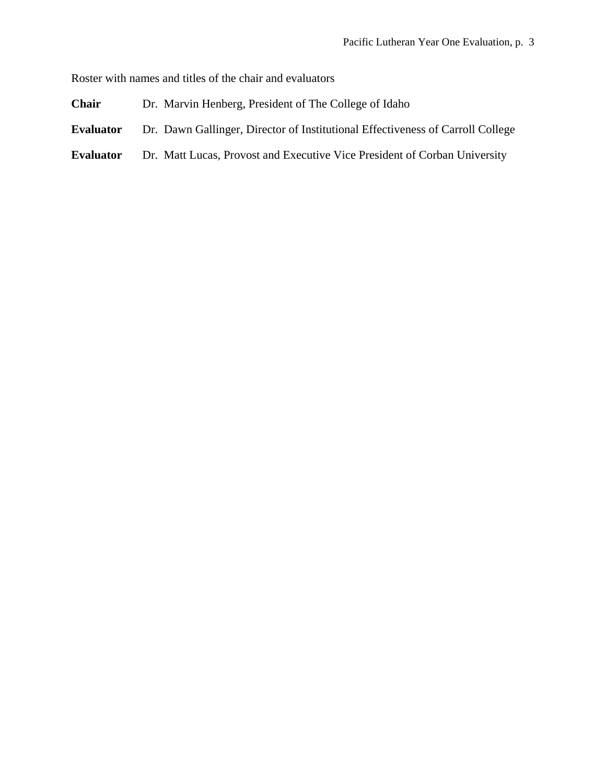Roster with names and titles of the chair and evaluators

- **Chair** Dr. Marvin Henberg, President of The College of Idaho
- **Evaluator** Dr. Dawn Gallinger, Director of Institutional Effectiveness of Carroll College
- **Evaluator** Dr. Matt Lucas, Provost and Executive Vice President of Corban University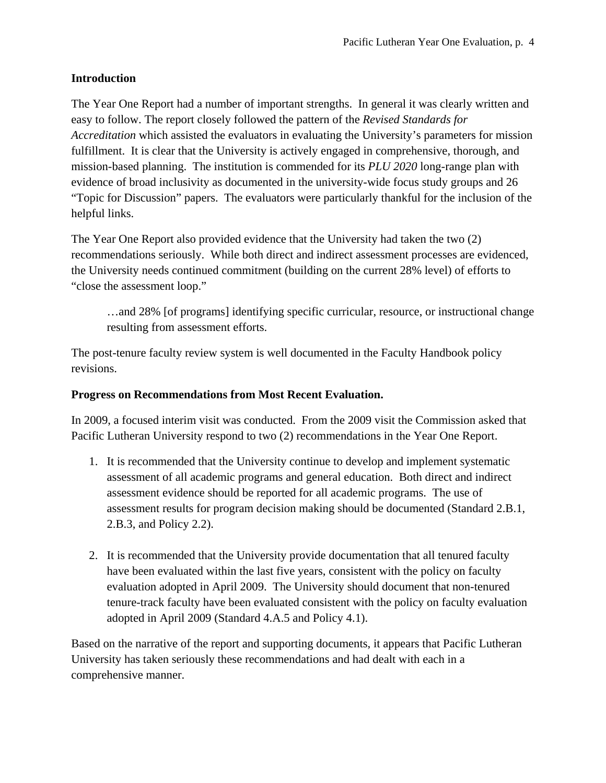# **Introduction**

The Year One Report had a number of important strengths. In general it was clearly written and easy to follow. The report closely followed the pattern of the *Revised Standards for Accreditation* which assisted the evaluators in evaluating the University's parameters for mission fulfillment. It is clear that the University is actively engaged in comprehensive, thorough, and mission-based planning. The institution is commended for its *PLU 2020* long-range plan with evidence of broad inclusivity as documented in the university-wide focus study groups and 26 "Topic for Discussion" papers. The evaluators were particularly thankful for the inclusion of the helpful links.

The Year One Report also provided evidence that the University had taken the two (2) recommendations seriously. While both direct and indirect assessment processes are evidenced, the University needs continued commitment (building on the current 28% level) of efforts to "close the assessment loop."

…and 28% [of programs] identifying specific curricular, resource, or instructional change resulting from assessment efforts.

The post-tenure faculty review system is well documented in the Faculty Handbook policy revisions.

## **Progress on Recommendations from Most Recent Evaluation.**

In 2009, a focused interim visit was conducted. From the 2009 visit the Commission asked that Pacific Lutheran University respond to two (2) recommendations in the Year One Report.

- 1. It is recommended that the University continue to develop and implement systematic assessment of all academic programs and general education. Both direct and indirect assessment evidence should be reported for all academic programs. The use of assessment results for program decision making should be documented (Standard 2.B.1, 2.B.3, and Policy 2.2).
- 2. It is recommended that the University provide documentation that all tenured faculty have been evaluated within the last five years, consistent with the policy on faculty evaluation adopted in April 2009. The University should document that non-tenured tenure-track faculty have been evaluated consistent with the policy on faculty evaluation adopted in April 2009 (Standard 4.A.5 and Policy 4.1).

Based on the narrative of the report and supporting documents, it appears that Pacific Lutheran University has taken seriously these recommendations and had dealt with each in a comprehensive manner.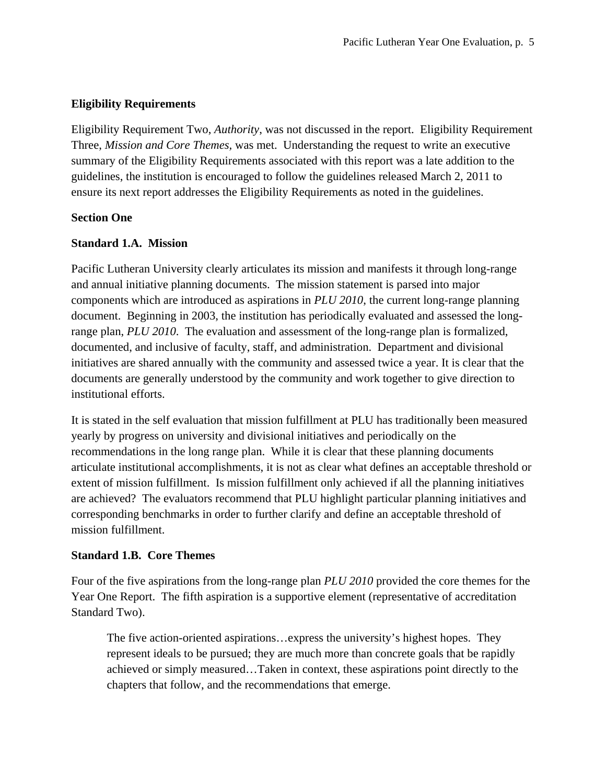# **Eligibility Requirements**

Eligibility Requirement Two, *Authority*, was not discussed in the report. Eligibility Requirement Three, *Mission and Core Themes,* was met. Understanding the request to write an executive summary of the Eligibility Requirements associated with this report was a late addition to the guidelines, the institution is encouraged to follow the guidelines released March 2, 2011 to ensure its next report addresses the Eligibility Requirements as noted in the guidelines.

## **Section One**

#### **Standard 1.A. Mission**

Pacific Lutheran University clearly articulates its mission and manifests it through long-range and annual initiative planning documents. The mission statement is parsed into major components which are introduced as aspirations in *PLU 2010*, the current long-range planning document. Beginning in 2003, the institution has periodically evaluated and assessed the longrange plan, *PLU 2010*. The evaluation and assessment of the long-range plan is formalized, documented, and inclusive of faculty, staff, and administration. Department and divisional initiatives are shared annually with the community and assessed twice a year. It is clear that the documents are generally understood by the community and work together to give direction to institutional efforts.

It is stated in the self evaluation that mission fulfillment at PLU has traditionally been measured yearly by progress on university and divisional initiatives and periodically on the recommendations in the long range plan. While it is clear that these planning documents articulate institutional accomplishments, it is not as clear what defines an acceptable threshold or extent of mission fulfillment. Is mission fulfillment only achieved if all the planning initiatives are achieved? The evaluators recommend that PLU highlight particular planning initiatives and corresponding benchmarks in order to further clarify and define an acceptable threshold of mission fulfillment.

## **Standard 1.B. Core Themes**

Four of the five aspirations from the long-range plan *PLU 2010* provided the core themes for the Year One Report. The fifth aspiration is a supportive element (representative of accreditation Standard Two).

The five action-oriented aspirations…express the university's highest hopes. They represent ideals to be pursued; they are much more than concrete goals that be rapidly achieved or simply measured…Taken in context, these aspirations point directly to the chapters that follow, and the recommendations that emerge.